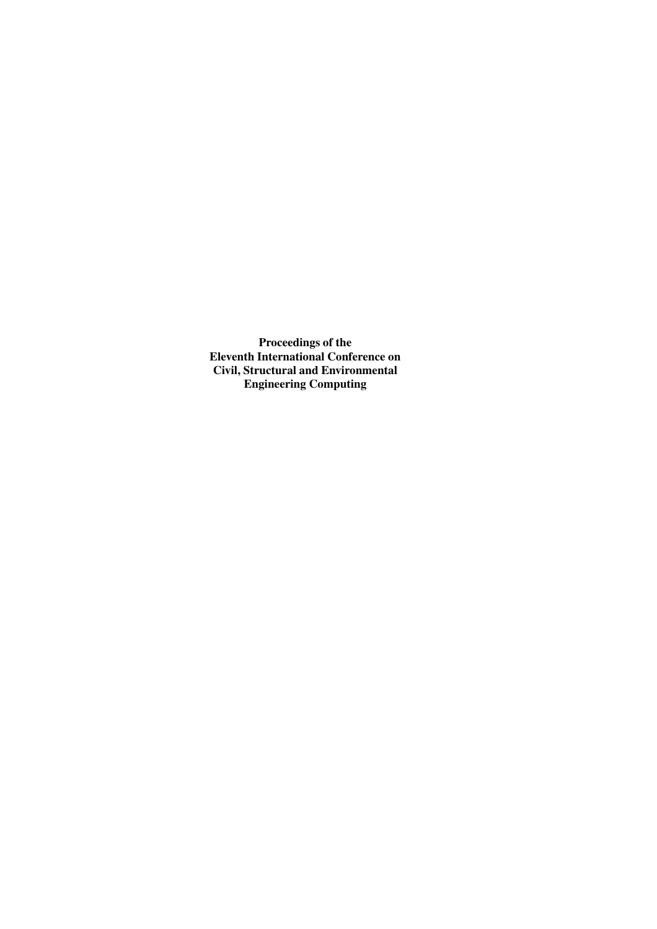**Proceedings of the Eleventh International Conference on Civil, Structural and Environmental Engineering Computing**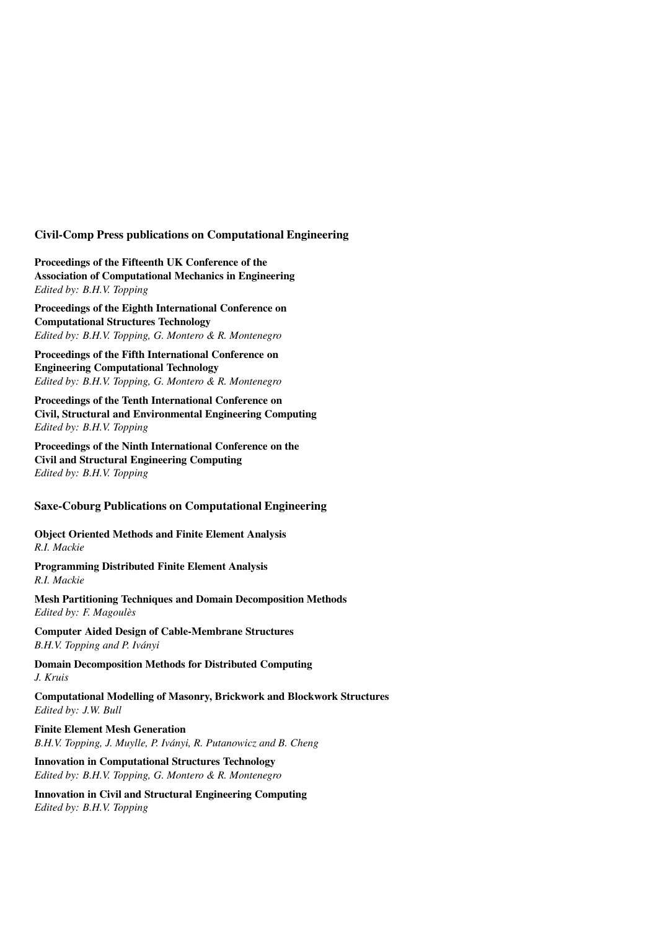## **Civil-Comp Press publications on Computational Engineering**

**Proceedings of the Fifteenth UK Conference of the Association of Computational Mechanics in Engineering** *Edited by: B.H.V. Topping*

**Proceedings of the Eighth International Conference on Computational Structures Technology** *Edited by: B.H.V. Topping, G. Montero & R. Montenegro*

**Proceedings of the Fifth International Conference on Engineering Computational Technology** *Edited by: B.H.V. Topping, G. Montero & R. Montenegro*

**Proceedings of the Tenth International Conference on Civil, Structural and Environmental Engineering Computing** *Edited by: B.H.V. Topping*

**Proceedings of the Ninth International Conference on the Civil and Structural Engineering Computing** *Edited by: B.H.V. Topping*

## **Saxe-Coburg Publications on Computational Engineering**

**Object Oriented Methods and Finite Element Analysis** *R.I. Mackie*

**Programming Distributed Finite Element Analysis** *R.I. Mackie*

**Mesh Partitioning Techniques and Domain Decomposition Methods** *Edited by: F. Magoulès*

**Computer Aided Design of Cable-Membrane Structures** *B.H.V. Topping and P. Iványi*

**Domain Decomposition Methods for Distributed Computing** *J. Kruis*

**Computational Modelling of Masonry, Brickwork and Blockwork Structures** *Edited by: J.W. Bull*

**Finite Element Mesh Generation** *B.H.V. Topping, J. Muylle, P. Iványi, R. Putanowicz and B. Cheng*

**Innovation in Computational Structures Technology** *Edited by: B.H.V. Topping, G. Montero & R. Montenegro*

**Innovation in Civil and Structural Engineering Computing** *Edited by: B.H.V. Topping*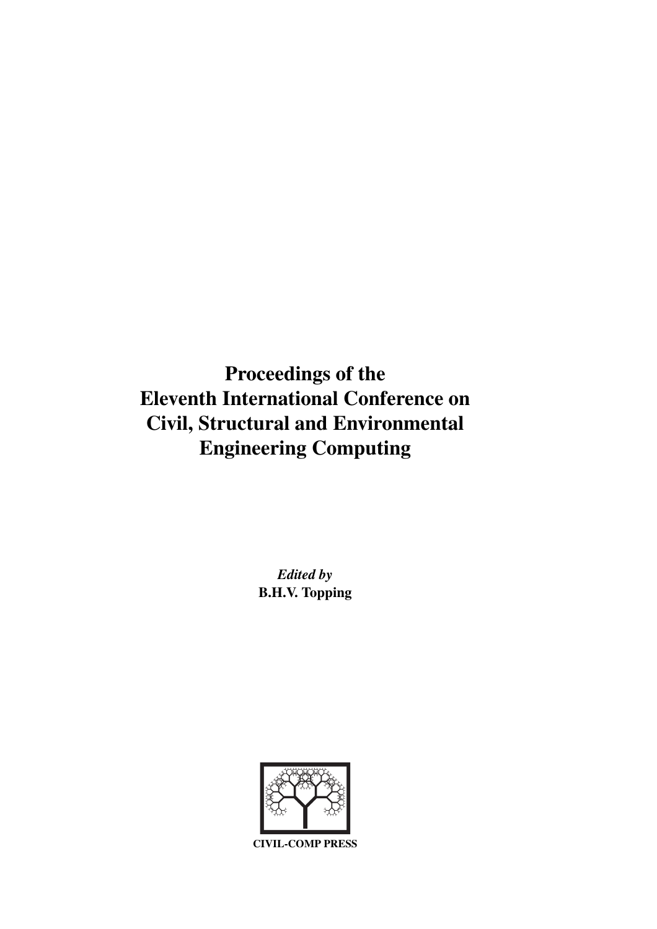# **Proceedings of the Eleventh International Conference on Civil, Structural and Environmental Engineering Computing**

*Edited by* **B.H.V. Topping**

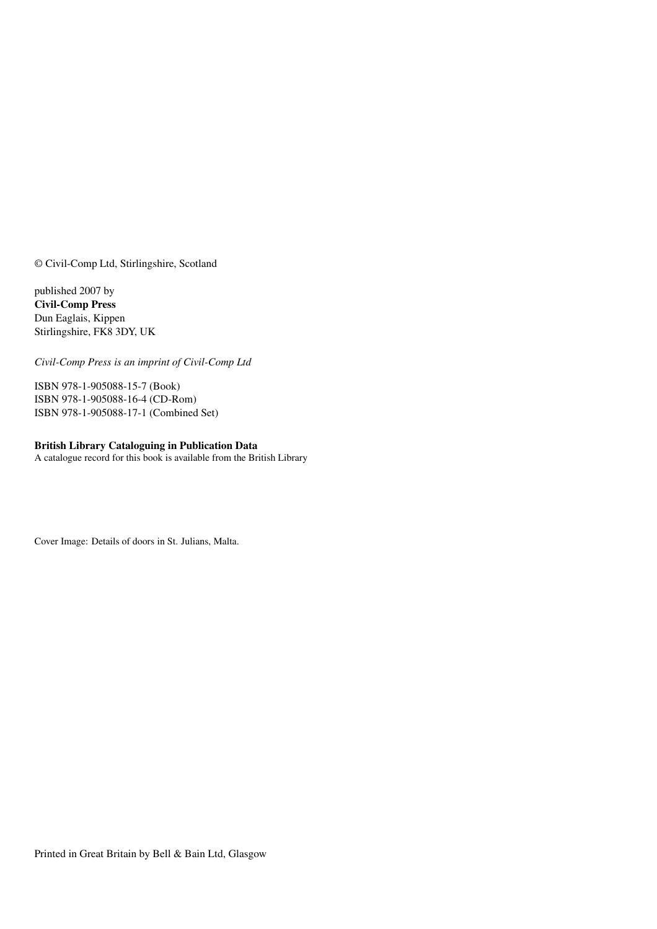© Civil-Comp Ltd, Stirlingshire, Scotland

published 2007 by **Civil-Comp Press** Dun Eaglais, Kippen Stirlingshire, FK8 3DY, UK

## *Civil-Comp Press is an imprint of Civil-Comp Ltd*

ISBN 978-1-905088-15-7 (Book) ISBN 978-1-905088-16-4 (CD-Rom) ISBN 978-1-905088-17-1 (Combined Set)

#### **British Library Cataloguing in Publication Data**

A catalogue record for this book is available from the British Library

Cover Image: Details of doors in St. Julians, Malta.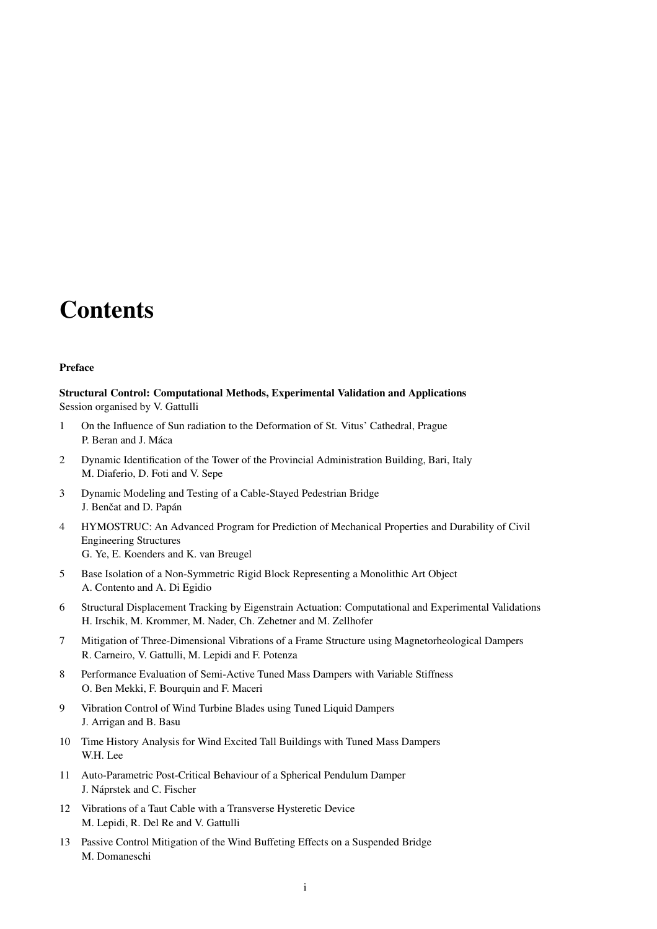# **Contents**

#### **Preface**

**Structural Control: Computational Methods, Experimental Validation and Applications** Session organised by V. Gattulli

- 1 On the Influence of Sun radiation to the Deformation of St. Vitus' Cathedral, Prague P. Beran and J. Máca
- 2 Dynamic Identification of the Tower of the Provincial Administration Building, Bari, Italy M. Diaferio, D. Foti and V. Sepe
- 3 Dynamic Modeling and Testing of a Cable-Stayed Pedestrian Bridge J. Benčat and D. Papán
- 4 HYMOSTRUC: An Advanced Program for Prediction of Mechanical Properties and Durability of Civil Engineering Structures G. Ye, E. Koenders and K. van Breugel
- 5 Base Isolation of a Non-Symmetric Rigid Block Representing a Monolithic Art Object A. Contento and A. Di Egidio
- 6 Structural Displacement Tracking by Eigenstrain Actuation: Computational and Experimental Validations H. Irschik, M. Krommer, M. Nader, Ch. Zehetner and M. Zellhofer
- 7 Mitigation of Three-Dimensional Vibrations of a Frame Structure using Magnetorheological Dampers R. Carneiro, V. Gattulli, M. Lepidi and F. Potenza
- 8 Performance Evaluation of Semi-Active Tuned Mass Dampers with Variable Stiffness O. Ben Mekki, F. Bourquin and F. Maceri
- 9 Vibration Control of Wind Turbine Blades using Tuned Liquid Dampers J. Arrigan and B. Basu
- 10 Time History Analysis for Wind Excited Tall Buildings with Tuned Mass Dampers W.H. Lee
- 11 Auto-Parametric Post-Critical Behaviour of a Spherical Pendulum Damper J. Náprstek and C. Fischer
- 12 Vibrations of a Taut Cable with a Transverse Hysteretic Device M. Lepidi, R. Del Re and V. Gattulli
- 13 Passive Control Mitigation of the Wind Buffeting Effects on a Suspended Bridge M. Domaneschi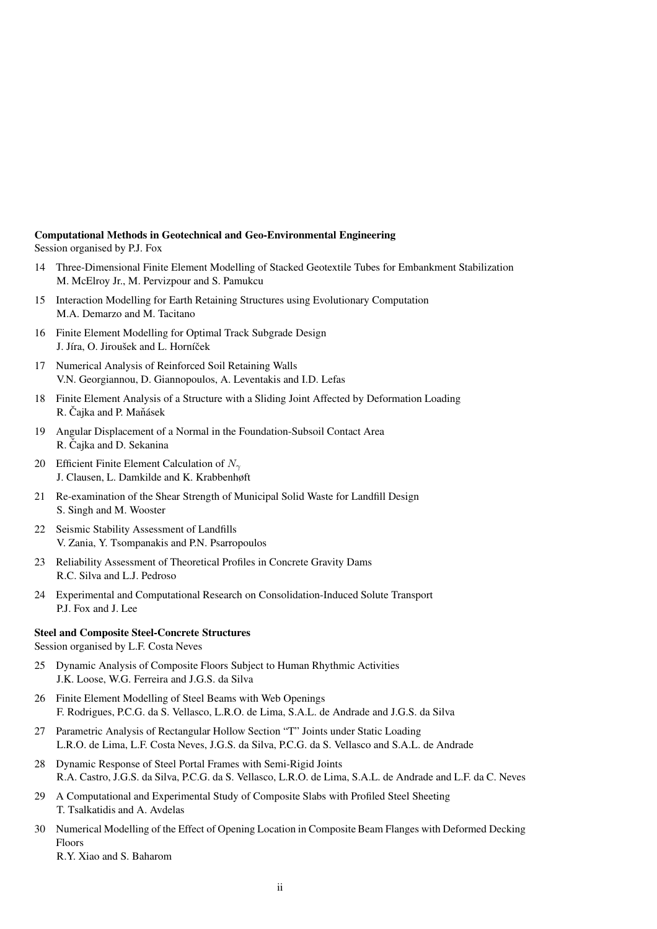#### **Computational Methods in Geotechnical and Geo-Environmental Engineering**

Session organised by P.J. Fox

- 14 Three-Dimensional Finite Element Modelling of Stacked Geotextile Tubes for Embankment Stabilization M. McElroy Jr., M. Pervizpour and S. Pamukcu
- 15 Interaction Modelling for Earth Retaining Structures using Evolutionary Computation M.A. Demarzo and M. Tacitano
- 16 Finite Element Modelling for Optimal Track Subgrade Design J. Jíra, O. Jiroušek and L. Horníček
- 17 Numerical Analysis of Reinforced Soil Retaining Walls V.N. Georgiannou, D. Giannopoulos, A. Leventakis and I.D. Lefas
- 18 Finite Element Analysis of a Structure with a Sliding Joint Affected by Deformation Loading R. Čajka and P. Maňásek
- 19 Angular Displacement of a Normal in the Foundation-Subsoil Contact Area R. Čajka and D. Sekanina
- 20 Efficient Finite Element Calculation of  $N_{\gamma}$ J. Clausen, L. Damkilde and K. Krabbenhøft
- 21 Re-examination of the Shear Strength of Municipal Solid Waste for Landfill Design S. Singh and M. Wooster
- 22 Seismic Stability Assessment of Landfills V. Zania, Y. Tsompanakis and P.N. Psarropoulos
- 23 Reliability Assessment of Theoretical Profiles in Concrete Gravity Dams R.C. Silva and L.J. Pedroso
- 24 Experimental and Computational Research on Consolidation-Induced Solute Transport P.J. Fox and J. Lee

#### **Steel and Composite Steel-Concrete Structures**

Session organised by L.F. Costa Neves

- 25 Dynamic Analysis of Composite Floors Subject to Human Rhythmic Activities J.K. Loose, W.G. Ferreira and J.G.S. da Silva
- 26 Finite Element Modelling of Steel Beams with Web Openings F. Rodrigues, P.C.G. da S. Vellasco, L.R.O. de Lima, S.A.L. de Andrade and J.G.S. da Silva
- 27 Parametric Analysis of Rectangular Hollow Section "T" Joints under Static Loading L.R.O. de Lima, L.F. Costa Neves, J.G.S. da Silva, P.C.G. da S. Vellasco and S.A.L. de Andrade
- 28 Dynamic Response of Steel Portal Frames with Semi-Rigid Joints R.A. Castro, J.G.S. da Silva, P.C.G. da S. Vellasco, L.R.O. de Lima, S.A.L. de Andrade and L.F. da C. Neves
- 29 A Computational and Experimental Study of Composite Slabs with Profiled Steel Sheeting T. Tsalkatidis and A. Avdelas
- 30 Numerical Modelling of the Effect of Opening Location in Composite Beam Flanges with Deformed Decking Floors

R.Y. Xiao and S. Baharom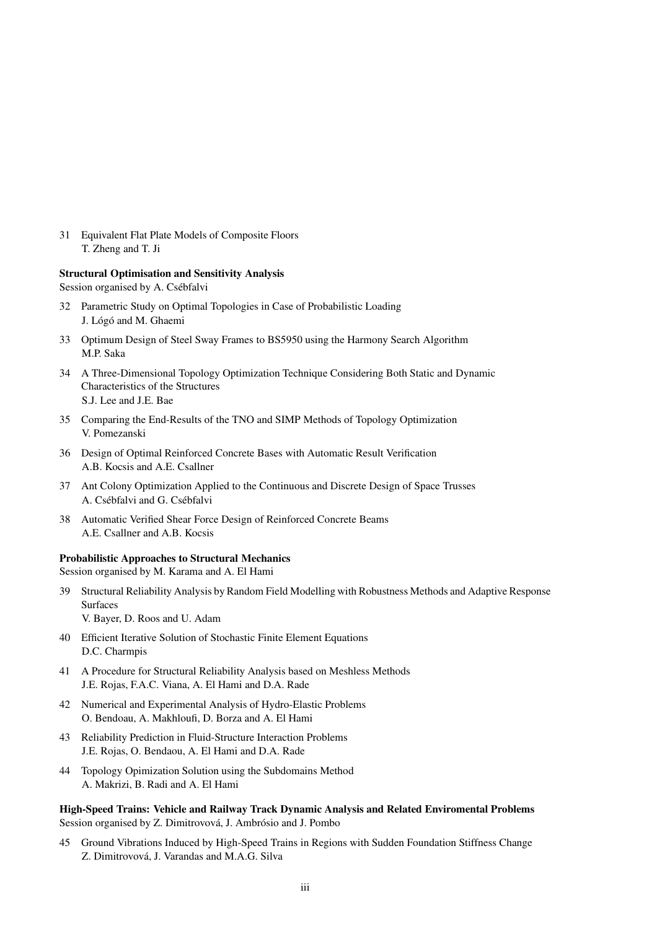31 Equivalent Flat Plate Models of Composite Floors T. Zheng and T. Ji

#### **Structural Optimisation and Sensitivity Analysis**

Session organised by A. Csébfalvi

- 32 Parametric Study on Optimal Topologies in Case of Probabilistic Loading J. Lógó and M. Ghaemi
- 33 Optimum Design of Steel Sway Frames to BS5950 using the Harmony Search Algorithm M.P. Saka
- 34 A Three-Dimensional Topology Optimization Technique Considering Both Static and Dynamic Characteristics of the Structures S.J. Lee and J.E. Bae
- 35 Comparing the End-Results of the TNO and SIMP Methods of Topology Optimization V. Pomezanski
- 36 Design of Optimal Reinforced Concrete Bases with Automatic Result Verification A.B. Kocsis and A.E. Csallner
- 37 Ant Colony Optimization Applied to the Continuous and Discrete Design of Space Trusses A. Csébfalvi and G. Csébfalvi
- 38 Automatic Verified Shear Force Design of Reinforced Concrete Beams A.E. Csallner and A.B. Kocsis

#### **Probabilistic Approaches to Structural Mechanics**

Session organised by M. Karama and A. El Hami

- 39 Structural Reliability Analysis by Random Field Modelling with Robustness Methods and Adaptive Response Surfaces V. Bayer, D. Roos and U. Adam
- 40 Efficient Iterative Solution of Stochastic Finite Element Equations D.C. Charmpis
- 41 A Procedure for Structural Reliability Analysis based on Meshless Methods J.E. Rojas, F.A.C. Viana, A. El Hami and D.A. Rade
- 42 Numerical and Experimental Analysis of Hydro-Elastic Problems O. Bendoau, A. Makhloufi, D. Borza and A. El Hami
- 43 Reliability Prediction in Fluid-Structure Interaction Problems J.E. Rojas, O. Bendaou, A. El Hami and D.A. Rade
- 44 Topology Opimization Solution using the Subdomains Method A. Makrizi, B. Radi and A. El Hami

**High-Speed Trains: Vehicle and Railway Track Dynamic Analysis and Related Enviromental Problems** Session organised by Z. Dimitrovová, J. Ambrósio and J. Pombo

45 Ground Vibrations Induced by High-Speed Trains in Regions with Sudden Foundation Stiffness Change Z. Dimitrovová, J. Varandas and M.A.G. Silva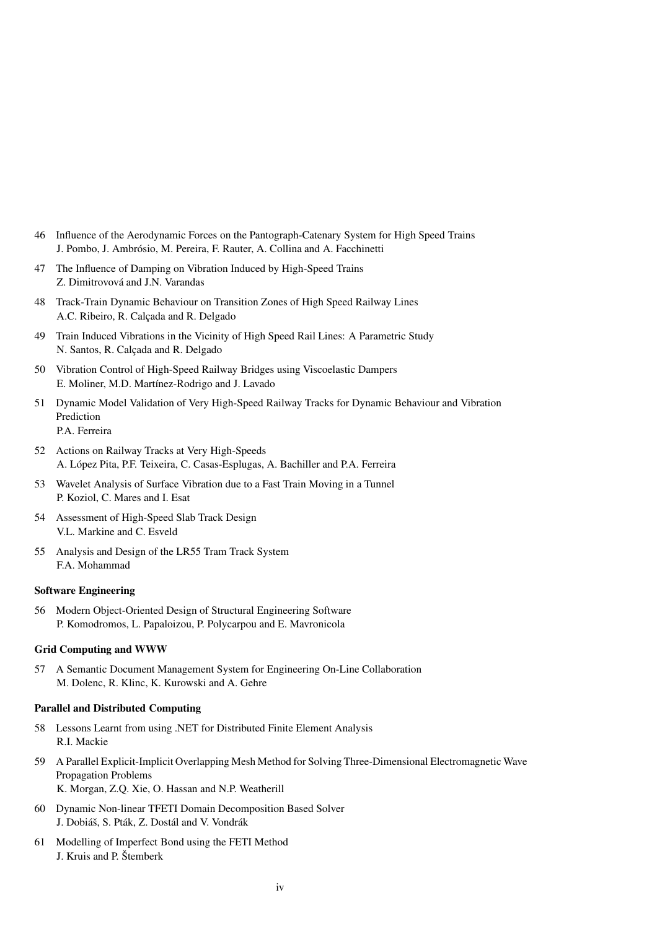- 46 Influence of the Aerodynamic Forces on the Pantograph-Catenary System for High Speed Trains J. Pombo, J. Ambrósio, M. Pereira, F. Rauter, A. Collina and A. Facchinetti
- 47 The Influence of Damping on Vibration Induced by High-Speed Trains Z. Dimitrovová and J.N. Varandas
- 48 Track-Train Dynamic Behaviour on Transition Zones of High Speed Railway Lines A.C. Ribeiro, R. Calçada and R. Delgado
- 49 Train Induced Vibrations in the Vicinity of High Speed Rail Lines: A Parametric Study N. Santos, R. Calçada and R. Delgado
- 50 Vibration Control of High-Speed Railway Bridges using Viscoelastic Dampers E. Moliner, M.D. Martínez-Rodrigo and J. Lavado
- 51 Dynamic Model Validation of Very High-Speed Railway Tracks for Dynamic Behaviour and Vibration Prediction P.A. Ferreira
- 52 Actions on Railway Tracks at Very High-Speeds A. López Pita, P.F. Teixeira, C. Casas-Esplugas, A. Bachiller and P.A. Ferreira
- 53 Wavelet Analysis of Surface Vibration due to a Fast Train Moving in a Tunnel P. Koziol, C. Mares and I. Esat
- 54 Assessment of High-Speed Slab Track Design V.L. Markine and C. Esveld
- 55 Analysis and Design of the LR55 Tram Track System F.A. Mohammad

#### **Software Engineering**

56 Modern Object-Oriented Design of Structural Engineering Software P. Komodromos, L. Papaloizou, P. Polycarpou and E. Mavronicola

#### **Grid Computing and WWW**

57 A Semantic Document Management System for Engineering On-Line Collaboration M. Dolenc, R. Klinc, K. Kurowski and A. Gehre

## **Parallel and Distributed Computing**

- 58 Lessons Learnt from using .NET for Distributed Finite Element Analysis R.I. Mackie
- 59 A Parallel Explicit-Implicit Overlapping Mesh Method for Solving Three-Dimensional Electromagnetic Wave Propagation Problems K. Morgan, Z.Q. Xie, O. Hassan and N.P. Weatherill
- 60 Dynamic Non-linear TFETI Domain Decomposition Based Solver J. Dobiáš, S. Pták, Z. Dostál and V. Vondrák
- 61 Modelling of Imperfect Bond using the FETI Method J. Kruis and P. Štemberk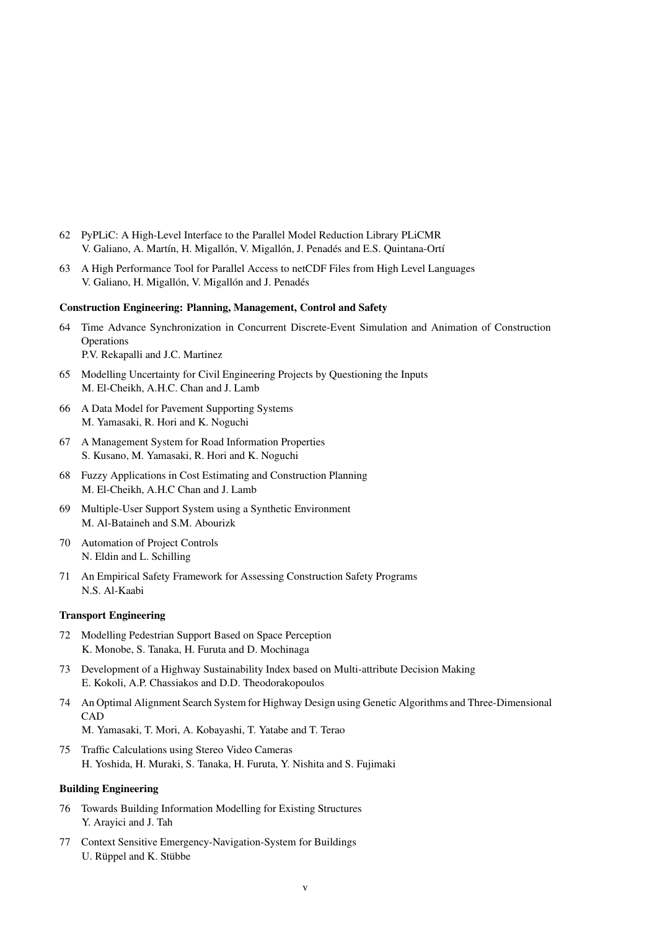- 62 PyPLiC: A High-Level Interface to the Parallel Model Reduction Library PLiCMR V. Galiano, A. Martín, H. Migallón, V. Migallón, J. Penadés and E.S. Quintana-Ortí
- 63 A High Performance Tool for Parallel Access to netCDF Files from High Level Languages V. Galiano, H. Migallón, V. Migallón and J. Penadés

#### **Construction Engineering: Planning, Management, Control and Safety**

- 64 Time Advance Synchronization in Concurrent Discrete-Event Simulation and Animation of Construction **Operations** P.V. Rekapalli and J.C. Martinez
- 65 Modelling Uncertainty for Civil Engineering Projects by Questioning the Inputs M. El-Cheikh, A.H.C. Chan and J. Lamb
- 66 A Data Model for Pavement Supporting Systems M. Yamasaki, R. Hori and K. Noguchi
- 67 A Management System for Road Information Properties S. Kusano, M. Yamasaki, R. Hori and K. Noguchi
- 68 Fuzzy Applications in Cost Estimating and Construction Planning M. El-Cheikh, A.H.C Chan and J. Lamb
- 69 Multiple-User Support System using a Synthetic Environment M. Al-Bataineh and S.M. Abourizk
- 70 Automation of Project Controls N. Eldin and L. Schilling
- 71 An Empirical Safety Framework for Assessing Construction Safety Programs N.S. Al-Kaabi

#### **Transport Engineering**

- 72 Modelling Pedestrian Support Based on Space Perception K. Monobe, S. Tanaka, H. Furuta and D. Mochinaga
- 73 Development of a Highway Sustainability Index based on Multi-attribute Decision Making E. Kokoli, A.P. Chassiakos and D.D. Theodorakopoulos
- 74 An Optimal Alignment Search System for Highway Design using Genetic Algorithms and Three-Dimensional CAD
	- M. Yamasaki, T. Mori, A. Kobayashi, T. Yatabe and T. Terao
- 75 Traffic Calculations using Stereo Video Cameras H. Yoshida, H. Muraki, S. Tanaka, H. Furuta, Y. Nishita and S. Fujimaki

#### **Building Engineering**

- 76 Towards Building Information Modelling for Existing Structures Y. Arayici and J. Tah
- 77 Context Sensitive Emergency-Navigation-System for Buildings U. Rüppel and K. Stübbe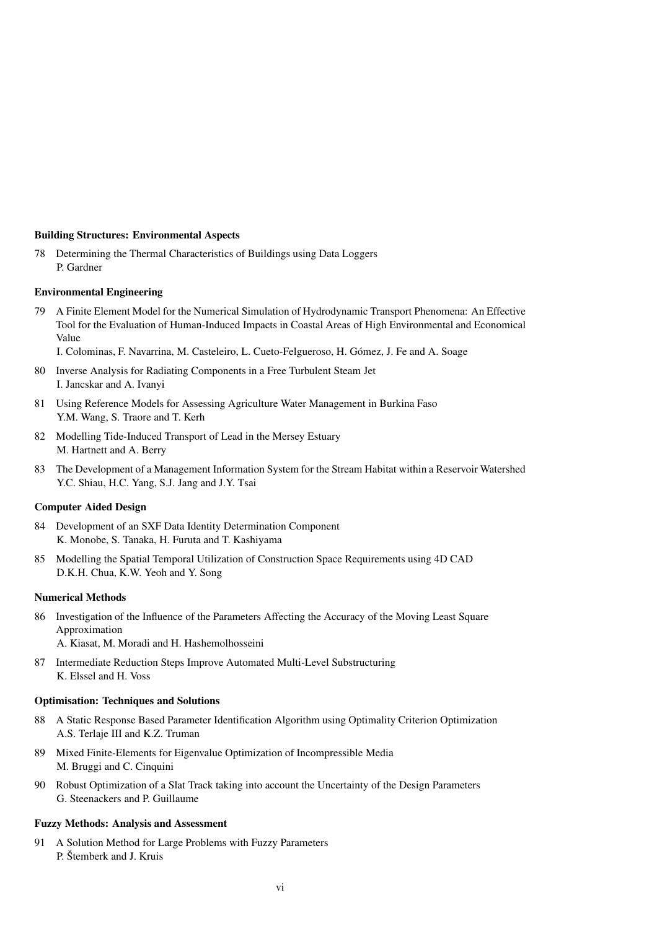#### **Building Structures: Environmental Aspects**

78 Determining the Thermal Characteristics of Buildings using Data Loggers P. Gardner

# **Environmental Engineering**

79 A Finite Element Model for the Numerical Simulation of Hydrodynamic Transport Phenomena: An Effective Tool for the Evaluation of Human-Induced Impacts in Coastal Areas of High Environmental and Economical Value

I. Colominas, F. Navarrina, M. Casteleiro, L. Cueto-Felgueroso, H. Gómez, J. Fe and A. Soage

- 80 Inverse Analysis for Radiating Components in a Free Turbulent Steam Jet I. Jancskar and A. Ivanyi
- 81 Using Reference Models for Assessing Agriculture Water Management in Burkina Faso Y.M. Wang, S. Traore and T. Kerh
- 82 Modelling Tide-Induced Transport of Lead in the Mersey Estuary M. Hartnett and A. Berry
- 83 The Development of a Management Information System for the Stream Habitat within a Reservoir Watershed Y.C. Shiau, H.C. Yang, S.J. Jang and J.Y. Tsai

# **Computer Aided Design**

- 84 Development of an SXF Data Identity Determination Component K. Monobe, S. Tanaka, H. Furuta and T. Kashiyama
- 85 Modelling the Spatial Temporal Utilization of Construction Space Requirements using 4D CAD D.K.H. Chua, K.W. Yeoh and Y. Song

# **Numerical Methods**

- 86 Investigation of the Influence of the Parameters Affecting the Accuracy of the Moving Least Square Approximation A. Kiasat, M. Moradi and H. Hashemolhosseini
- 87 Intermediate Reduction Steps Improve Automated Multi-Level Substructuring K. Elssel and H. Voss

# **Optimisation: Techniques and Solutions**

- 88 A Static Response Based Parameter Identification Algorithm using Optimality Criterion Optimization A.S. Terlaje III and K.Z. Truman
- 89 Mixed Finite-Elements for Eigenvalue Optimization of Incompressible Media M. Bruggi and C. Cinquini
- 90 Robust Optimization of a Slat Track taking into account the Uncertainty of the Design Parameters G. Steenackers and P. Guillaume

# **Fuzzy Methods: Analysis and Assessment**

91 A Solution Method for Large Problems with Fuzzy Parameters P. Štemberk and J. Kruis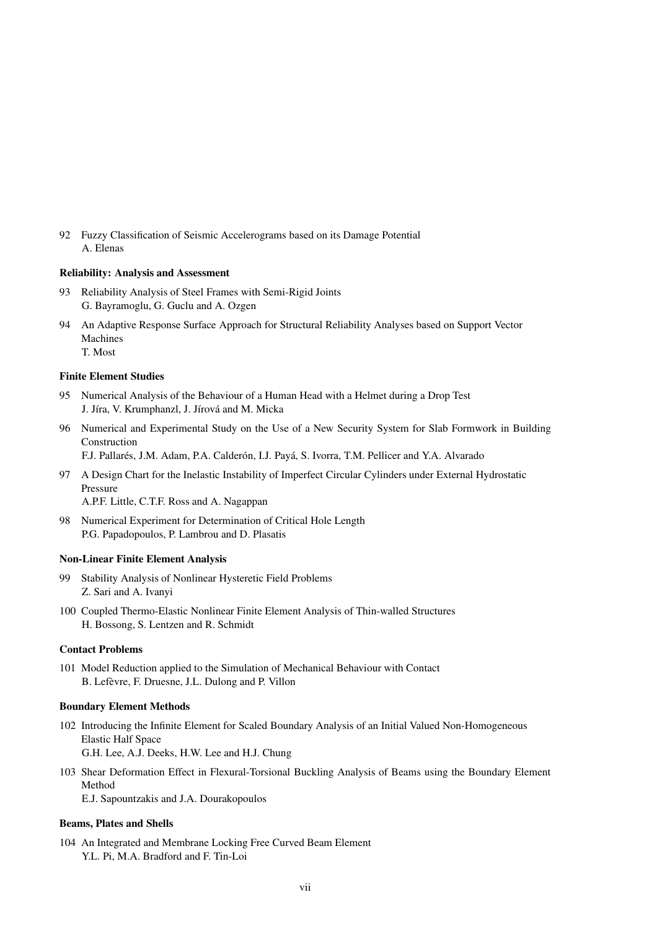92 Fuzzy Classification of Seismic Accelerograms based on its Damage Potential A. Elenas

#### **Reliability: Analysis and Assessment**

- 93 Reliability Analysis of Steel Frames with Semi-Rigid Joints G. Bayramoglu, G. Guclu and A. Ozgen
- 94 An Adaptive Response Surface Approach for Structural Reliability Analyses based on Support Vector Machines T. Most

#### **Finite Element Studies**

- 95 Numerical Analysis of the Behaviour of a Human Head with a Helmet during a Drop Test J. Jíra, V. Krumphanzl, J. Jírová and M. Micka
- 96 Numerical and Experimental Study on the Use of a New Security System for Slab Formwork in Building Construction F.J. Pallarés, J.M. Adam, P.A. Calderón, I.J. Payá, S. Ivorra, T.M. Pellicer and Y.A. Alvarado
- 97 A Design Chart for the Inelastic Instability of Imperfect Circular Cylinders under External Hydrostatic Pressure A.P.F. Little, C.T.F. Ross and A. Nagappan
- 98 Numerical Experiment for Determination of Critical Hole Length P.G. Papadopoulos, P. Lambrou and D. Plasatis

#### **Non-Linear Finite Element Analysis**

- 99 Stability Analysis of Nonlinear Hysteretic Field Problems Z. Sari and A. Ivanyi
- 100 Coupled Thermo-Elastic Nonlinear Finite Element Analysis of Thin-walled Structures H. Bossong, S. Lentzen and R. Schmidt

#### **Contact Problems**

101 Model Reduction applied to the Simulation of Mechanical Behaviour with Contact B. Lefèvre, F. Druesne, J.L. Dulong and P. Villon

#### **Boundary Element Methods**

- 102 Introducing the Infinite Element for Scaled Boundary Analysis of an Initial Valued Non-Homogeneous Elastic Half Space G.H. Lee, A.J. Deeks, H.W. Lee and H.J. Chung
- 103 Shear Deformation Effect in Flexural-Torsional Buckling Analysis of Beams using the Boundary Element Method E.J. Sapountzakis and J.A. Dourakopoulos

#### **Beams, Plates and Shells**

104 An Integrated and Membrane Locking Free Curved Beam Element Y.L. Pi, M.A. Bradford and F. Tin-Loi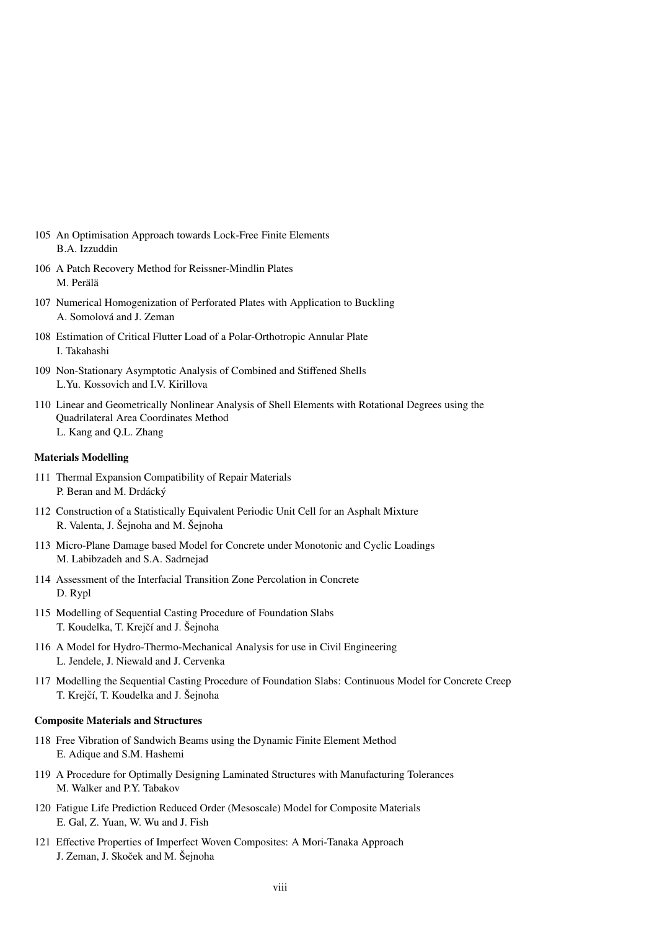- 105 An Optimisation Approach towards Lock-Free Finite Elements B.A. Izzuddin
- 106 A Patch Recovery Method for Reissner-Mindlin Plates M. Perälä
- 107 Numerical Homogenization of Perforated Plates with Application to Buckling A. Somolová and I. Zeman
- 108 Estimation of Critical Flutter Load of a Polar-Orthotropic Annular Plate I. Takahashi
- 109 Non-Stationary Asymptotic Analysis of Combined and Stiffened Shells L.Yu. Kossovich and I.V. Kirillova
- 110 Linear and Geometrically Nonlinear Analysis of Shell Elements with Rotational Degrees using the Quadrilateral Area Coordinates Method L. Kang and Q.L. Zhang

## **Materials Modelling**

- 111 Thermal Expansion Compatibility of Repair Materials P. Beran and M. Drdácký
- 112 Construction of a Statistically Equivalent Periodic Unit Cell for an Asphalt Mixture R. Valenta, J. Šejnoha and M. Šejnoha
- 113 Micro-Plane Damage based Model for Concrete under Monotonic and Cyclic Loadings M. Labibzadeh and S.A. Sadrnejad
- 114 Assessment of the Interfacial Transition Zone Percolation in Concrete D. Rypl
- 115 Modelling of Sequential Casting Procedure of Foundation Slabs T. Koudelka, T. Krejčí and J. Šejnoha
- 116 A Model for Hydro-Thermo-Mechanical Analysis for use in Civil Engineering L. Jendele, J. Niewald and J. Cervenka
- 117 Modelling the Sequential Casting Procedure of Foundation Slabs: Continuous Model for Concrete Creep T. Krejčí, T. Koudelka and J. Šejnoha

#### **Composite Materials and Structures**

- 118 Free Vibration of Sandwich Beams using the Dynamic Finite Element Method E. Adique and S.M. Hashemi
- 119 A Procedure for Optimally Designing Laminated Structures with Manufacturing Tolerances M. Walker and P.Y. Tabakov
- 120 Fatigue Life Prediction Reduced Order (Mesoscale) Model for Composite Materials E. Gal, Z. Yuan, W. Wu and J. Fish
- 121 Effective Properties of Imperfect Woven Composites: A Mori-Tanaka Approach J. Zeman, J. Skoček and M. Šejnoha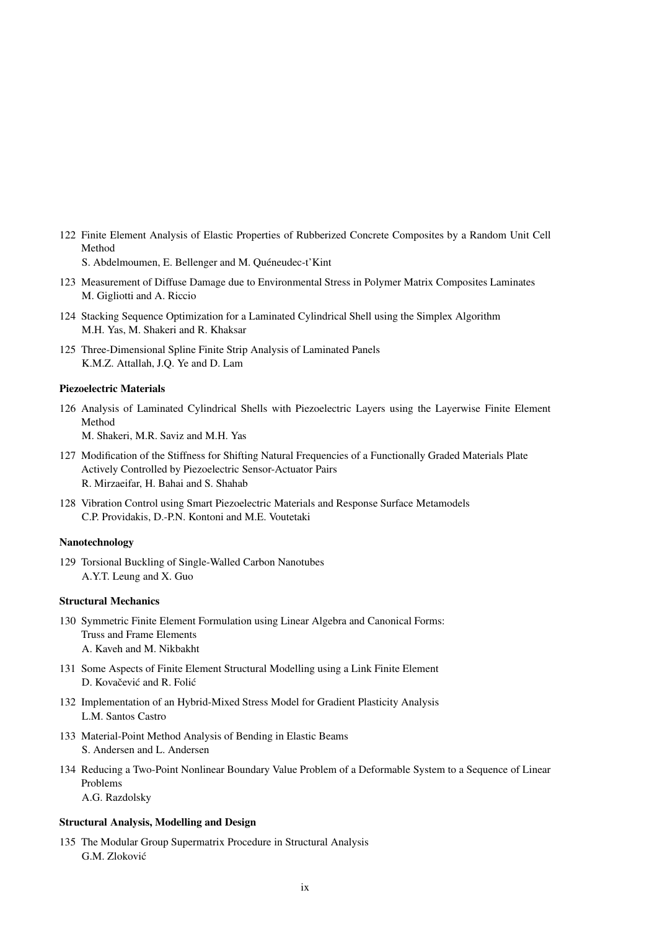- 122 Finite Element Analysis of Elastic Properties of Rubberized Concrete Composites by a Random Unit Cell Method S. Abdelmoumen, E. Bellenger and M. Quéneudec-t'Kint
- 123 Measurement of Diffuse Damage due to Environmental Stress in Polymer Matrix Composites Laminates M. Gigliotti and A. Riccio
- 124 Stacking Sequence Optimization for a Laminated Cylindrical Shell using the Simplex Algorithm M.H. Yas, M. Shakeri and R. Khaksar
- 125 Three-Dimensional Spline Finite Strip Analysis of Laminated Panels K.M.Z. Attallah, J.Q. Ye and D. Lam

#### **Piezoelectric Materials**

- 126 Analysis of Laminated Cylindrical Shells with Piezoelectric Layers using the Layerwise Finite Element Method M. Shakeri, M.R. Saviz and M.H. Yas
- 127 Modification of the Stiffness for Shifting Natural Frequencies of a Functionally Graded Materials Plate Actively Controlled by Piezoelectric Sensor-Actuator Pairs R. Mirzaeifar, H. Bahai and S. Shahab
- 128 Vibration Control using Smart Piezoelectric Materials and Response Surface Metamodels C.P. Providakis, D.-P.N. Kontoni and M.E. Voutetaki

#### **Nanotechnology**

129 Torsional Buckling of Single-Walled Carbon Nanotubes A.Y.T. Leung and X. Guo

#### **Structural Mechanics**

- 130 Symmetric Finite Element Formulation using Linear Algebra and Canonical Forms: Truss and Frame Elements A. Kaveh and M. Nikbakht
- 131 Some Aspects of Finite Element Structural Modelling using a Link Finite Element D. Kovačević and R. Folić
- 132 Implementation of an Hybrid-Mixed Stress Model for Gradient Plasticity Analysis L.M. Santos Castro
- 133 Material-Point Method Analysis of Bending in Elastic Beams S. Andersen and L. Andersen
- 134 Reducing a Two-Point Nonlinear Boundary Value Problem of a Deformable System to a Sequence of Linear Problems A.G. Razdolsky

#### **Structural Analysis, Modelling and Design**

135 The Modular Group Supermatrix Procedure in Structural Analysis G.M. Zloković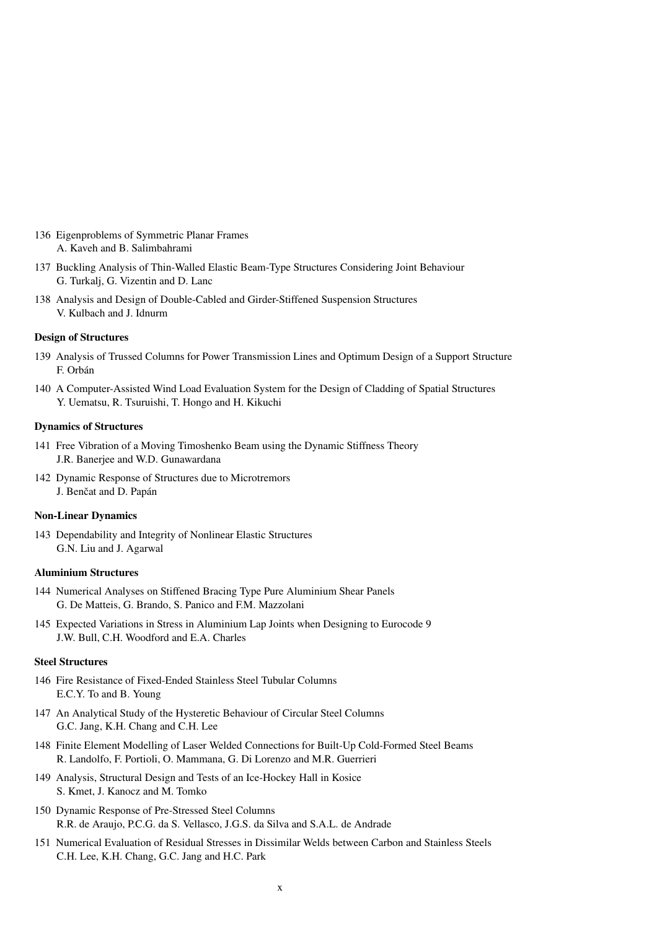- 136 Eigenproblems of Symmetric Planar Frames A. Kaveh and B. Salimbahrami
- 137 Buckling Analysis of Thin-Walled Elastic Beam-Type Structures Considering Joint Behaviour G. Turkalj, G. Vizentin and D. Lanc
- 138 Analysis and Design of Double-Cabled and Girder-Stiffened Suspension Structures V. Kulbach and J. Idnurm

#### **Design of Structures**

- 139 Analysis of Trussed Columns for Power Transmission Lines and Optimum Design of a Support Structure F. Orbán
- 140 A Computer-Assisted Wind Load Evaluation System for the Design of Cladding of Spatial Structures Y. Uematsu, R. Tsuruishi, T. Hongo and H. Kikuchi

#### **Dynamics of Structures**

- 141 Free Vibration of a Moving Timoshenko Beam using the Dynamic Stiffness Theory J.R. Banerjee and W.D. Gunawardana
- 142 Dynamic Response of Structures due to Microtremors J. Benčat and D. Papán

#### **Non-Linear Dynamics**

143 Dependability and Integrity of Nonlinear Elastic Structures G.N. Liu and J. Agarwal

#### **Aluminium Structures**

- 144 Numerical Analyses on Stiffened Bracing Type Pure Aluminium Shear Panels G. De Matteis, G. Brando, S. Panico and F.M. Mazzolani
- 145 Expected Variations in Stress in Aluminium Lap Joints when Designing to Eurocode 9 J.W. Bull, C.H. Woodford and E.A. Charles

## **Steel Structures**

- 146 Fire Resistance of Fixed-Ended Stainless Steel Tubular Columns E.C.Y. To and B. Young
- 147 An Analytical Study of the Hysteretic Behaviour of Circular Steel Columns G.C. Jang, K.H. Chang and C.H. Lee
- 148 Finite Element Modelling of Laser Welded Connections for Built-Up Cold-Formed Steel Beams R. Landolfo, F. Portioli, O. Mammana, G. Di Lorenzo and M.R. Guerrieri
- 149 Analysis, Structural Design and Tests of an Ice-Hockey Hall in Kosice S. Kmet, J. Kanocz and M. Tomko
- 150 Dynamic Response of Pre-Stressed Steel Columns R.R. de Araujo, P.C.G. da S. Vellasco, J.G.S. da Silva and S.A.L. de Andrade
- 151 Numerical Evaluation of Residual Stresses in Dissimilar Welds between Carbon and Stainless Steels C.H. Lee, K.H. Chang, G.C. Jang and H.C. Park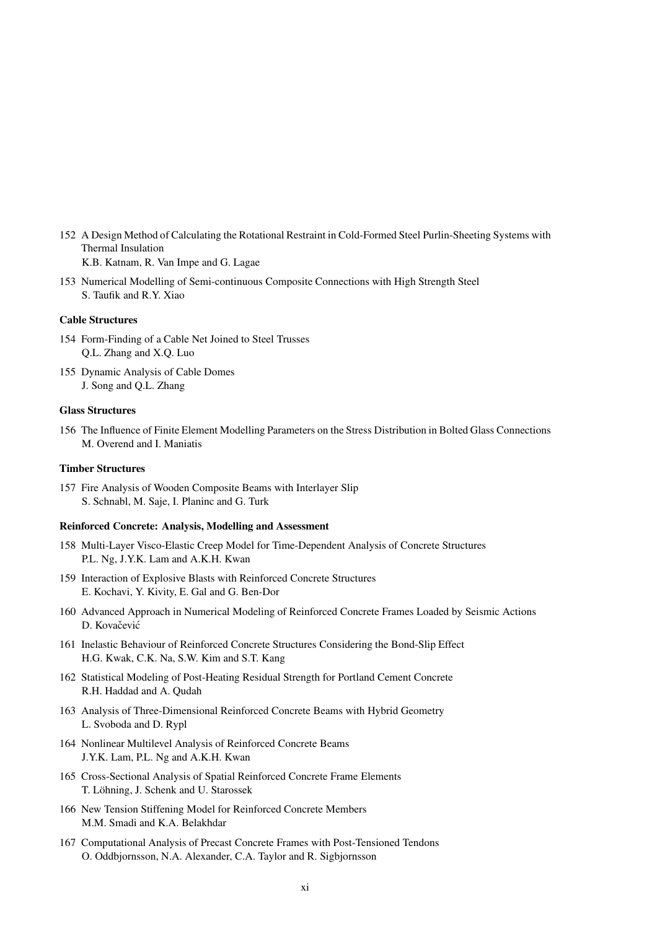- 152 A Design Method of Calculating the Rotational Restraint in Cold-Formed Steel Purlin-Sheeting Systems with Thermal Insulation K.B. Katnam, R. Van Impe and G. Lagae
- 153 Numerical Modelling of Semi-continuous Composite Connections with High Strength Steel S. Taufik and R.Y. Xiao

## **Cable Structures**

- 154 Form-Finding of a Cable Net Joined to Steel Trusses Q.L. Zhang and X.Q. Luo
- 155 Dynamic Analysis of Cable Domes J. Song and Q.L. Zhang

#### **Glass Structures**

156 The Influence of Finite Element Modelling Parameters on the Stress Distribution in Bolted Glass Connections M. Overend and I. Maniatis

#### **Timber Structures**

157 Fire Analysis of Wooden Composite Beams with Interlayer Slip S. Schnabl, M. Saje, I. Planinc and G. Turk

#### **Reinforced Concrete: Analysis, Modelling and Assessment**

- 158 Multi-Layer Visco-Elastic Creep Model for Time-Dependent Analysis of Concrete Structures P.L. Ng, J.Y.K. Lam and A.K.H. Kwan
- 159 Interaction of Explosive Blasts with Reinforced Concrete Structures E. Kochavi, Y. Kivity, E. Gal and G. Ben-Dor
- 160 Advanced Approach in Numerical Modeling of Reinforced Concrete Frames Loaded by Seismic Actions D. Kovačević
- 161 Inelastic Behaviour of Reinforced Concrete Structures Considering the Bond-Slip Effect H.G. Kwak, C.K. Na, S.W. Kim and S.T. Kang
- 162 Statistical Modeling of Post-Heating Residual Strength for Portland Cement Concrete R.H. Haddad and A. Qudah
- 163 Analysis of Three-Dimensional Reinforced Concrete Beams with Hybrid Geometry L. Svoboda and D. Rypl
- 164 Nonlinear Multilevel Analysis of Reinforced Concrete Beams J.Y.K. Lam, P.L. Ng and A.K.H. Kwan
- 165 Cross-Sectional Analysis of Spatial Reinforced Concrete Frame Elements T. Löhning, J. Schenk and U. Starossek
- 166 New Tension Stiffening Model for Reinforced Concrete Members M.M. Smadi and K.A. Belakhdar
- 167 Computational Analysis of Precast Concrete Frames with Post-Tensioned Tendons O. Oddbjornsson, N.A. Alexander, C.A. Taylor and R. Sigbjornsson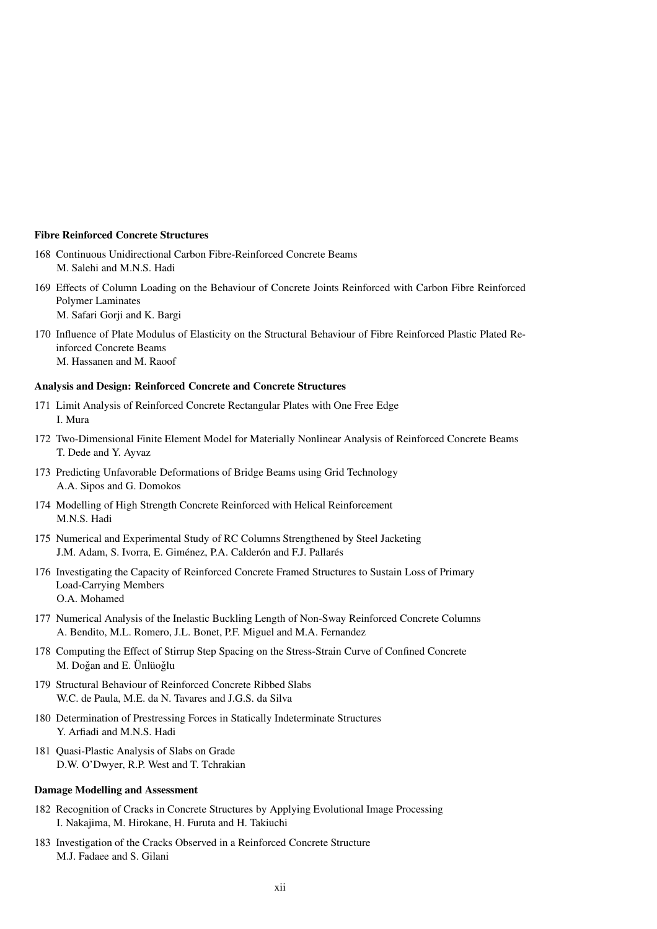#### **Fibre Reinforced Concrete Structures**

- 168 Continuous Unidirectional Carbon Fibre-Reinforced Concrete Beams M. Salehi and M.N.S. Hadi
- 169 Effects of Column Loading on the Behaviour of Concrete Joints Reinforced with Carbon Fibre Reinforced Polymer Laminates M. Safari Gorji and K. Bargi
- 170 Influence of Plate Modulus of Elasticity on the Structural Behaviour of Fibre Reinforced Plastic Plated Reinforced Concrete Beams M. Hassanen and M. Raoof

#### **Analysis and Design: Reinforced Concrete and Concrete Structures**

- 171 Limit Analysis of Reinforced Concrete Rectangular Plates with One Free Edge I. Mura
- 172 Two-Dimensional Finite Element Model for Materially Nonlinear Analysis of Reinforced Concrete Beams T. Dede and Y. Ayvaz
- 173 Predicting Unfavorable Deformations of Bridge Beams using Grid Technology A.A. Sipos and G. Domokos
- 174 Modelling of High Strength Concrete Reinforced with Helical Reinforcement M.N.S. Hadi
- 175 Numerical and Experimental Study of RC Columns Strengthened by Steel Jacketing J.M. Adam, S. Ivorra, E. Giménez, P.A. Calderón and F.J. Pallarés
- 176 Investigating the Capacity of Reinforced Concrete Framed Structures to Sustain Loss of Primary Load-Carrying Members O.A. Mohamed
- 177 Numerical Analysis of the Inelastic Buckling Length of Non-Sway Reinforced Concrete Columns A. Bendito, M.L. Romero, J.L. Bonet, P.F. Miguel and M.A. Fernandez
- 178 Computing the Effect of Stirrup Step Spacing on the Stress-Strain Curve of Confined Concrete M. Doğan and E. Ünlüoğlu
- 179 Structural Behaviour of Reinforced Concrete Ribbed Slabs W.C. de Paula, M.E. da N. Tavares and J.G.S. da Silva
- 180 Determination of Prestressing Forces in Statically Indeterminate Structures Y. Arfiadi and M.N.S. Hadi
- 181 Quasi-Plastic Analysis of Slabs on Grade D.W. O'Dwyer, R.P. West and T. Tchrakian

#### **Damage Modelling and Assessment**

- 182 Recognition of Cracks in Concrete Structures by Applying Evolutional Image Processing I. Nakajima, M. Hirokane, H. Furuta and H. Takiuchi
- 183 Investigation of the Cracks Observed in a Reinforced Concrete Structure M.J. Fadaee and S. Gilani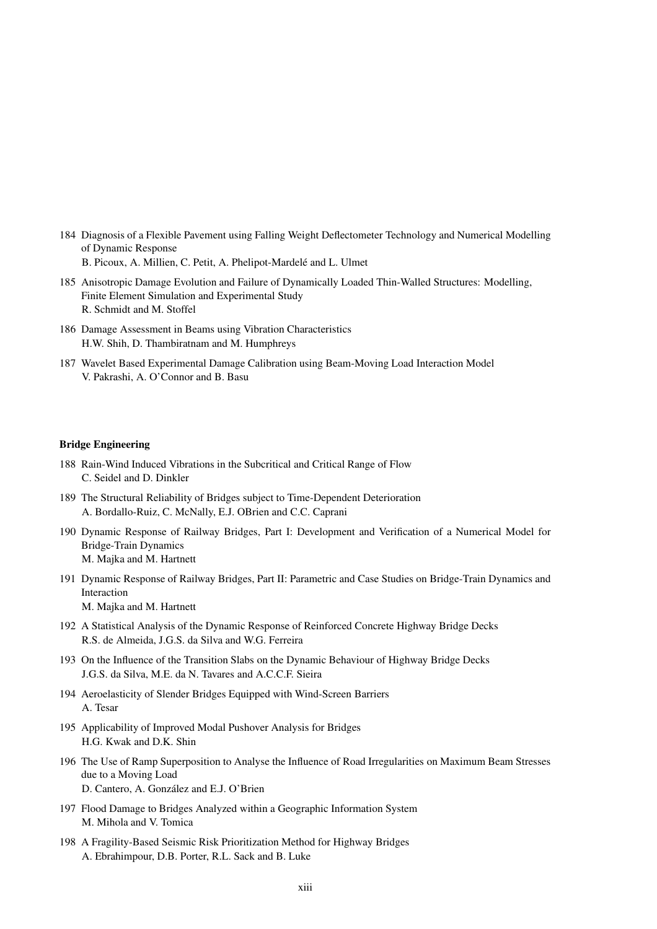- 184 Diagnosis of a Flexible Pavement using Falling Weight Deflectometer Technology and Numerical Modelling of Dynamic Response B. Picoux, A. Millien, C. Petit, A. Phelipot-Mardelé and L. Ulmet
- 185 Anisotropic Damage Evolution and Failure of Dynamically Loaded Thin-Walled Structures: Modelling, Finite Element Simulation and Experimental Study R. Schmidt and M. Stoffel
- 186 Damage Assessment in Beams using Vibration Characteristics H.W. Shih, D. Thambiratnam and M. Humphreys
- 187 Wavelet Based Experimental Damage Calibration using Beam-Moving Load Interaction Model V. Pakrashi, A. O'Connor and B. Basu

#### **Bridge Engineering**

- 188 Rain-Wind Induced Vibrations in the Subcritical and Critical Range of Flow C. Seidel and D. Dinkler
- 189 The Structural Reliability of Bridges subject to Time-Dependent Deterioration A. Bordallo-Ruiz, C. McNally, E.J. OBrien and C.C. Caprani
- 190 Dynamic Response of Railway Bridges, Part I: Development and Verification of a Numerical Model for Bridge-Train Dynamics M. Majka and M. Hartnett
- 191 Dynamic Response of Railway Bridges, Part II: Parametric and Case Studies on Bridge-Train Dynamics and Interaction M. Majka and M. Hartnett
- 192 A Statistical Analysis of the Dynamic Response of Reinforced Concrete Highway Bridge Decks R.S. de Almeida, J.G.S. da Silva and W.G. Ferreira
- 193 On the Influence of the Transition Slabs on the Dynamic Behaviour of Highway Bridge Decks J.G.S. da Silva, M.E. da N. Tavares and A.C.C.F. Sieira
- 194 Aeroelasticity of Slender Bridges Equipped with Wind-Screen Barriers A. Tesar
- 195 Applicability of Improved Modal Pushover Analysis for Bridges H.G. Kwak and D.K. Shin
- 196 The Use of Ramp Superposition to Analyse the Influence of Road Irregularities on Maximum Beam Stresses due to a Moving Load D. Cantero, A. González and E.J. O'Brien
- 197 Flood Damage to Bridges Analyzed within a Geographic Information System M. Mihola and V. Tomica
- 198 A Fragility-Based Seismic Risk Prioritization Method for Highway Bridges A. Ebrahimpour, D.B. Porter, R.L. Sack and B. Luke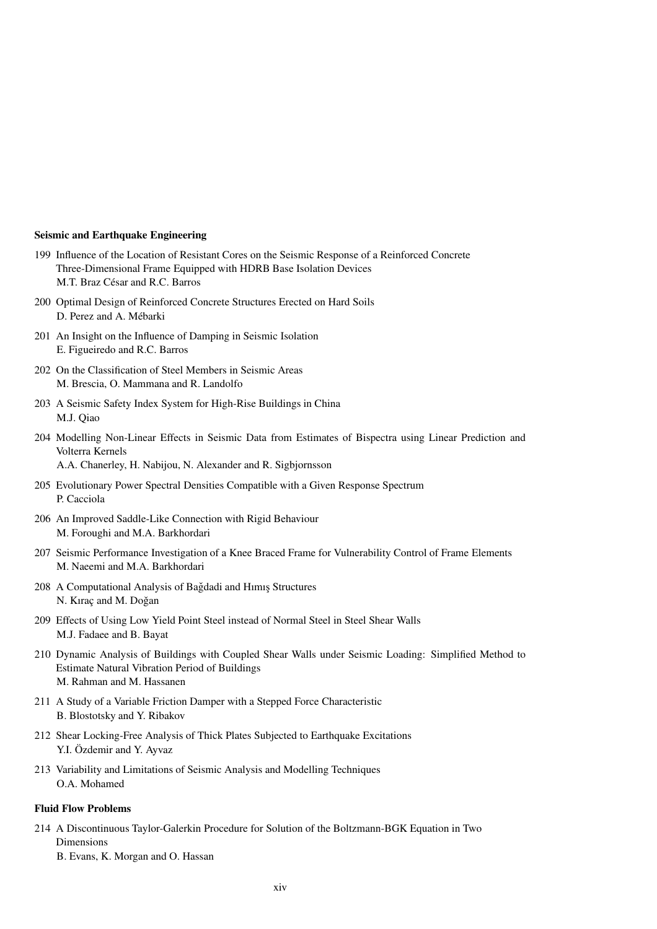#### **Seismic and Earthquake Engineering**

- 199 Influence of the Location of Resistant Cores on the Seismic Response of a Reinforced Concrete Three-Dimensional Frame Equipped with HDRB Base Isolation Devices M.T. Braz César and R.C. Barros
- 200 Optimal Design of Reinforced Concrete Structures Erected on Hard Soils D. Perez and A. Mébarki
- 201 An Insight on the Influence of Damping in Seismic Isolation E. Figueiredo and R.C. Barros
- 202 On the Classification of Steel Members in Seismic Areas M. Brescia, O. Mammana and R. Landolfo
- 203 A Seismic Safety Index System for High-Rise Buildings in China M.J. Qiao
- 204 Modelling Non-Linear Effects in Seismic Data from Estimates of Bispectra using Linear Prediction and Volterra Kernels A.A. Chanerley, H. Nabijou, N. Alexander and R. Sigbjornsson
- 205 Evolutionary Power Spectral Densities Compatible with a Given Response Spectrum P. Cacciola
- 206 An Improved Saddle-Like Connection with Rigid Behaviour M. Foroughi and M.A. Barkhordari
- 207 Seismic Performance Investigation of a Knee Braced Frame for Vulnerability Control of Frame Elements M. Naeemi and M.A. Barkhordari
- 208 A Computational Analysis of Bağdadi and Hımış Structures N. Kıraç and M. Doğan
- 209 Effects of Using Low Yield Point Steel instead of Normal Steel in Steel Shear Walls M.J. Fadaee and B. Bayat
- 210 Dynamic Analysis of Buildings with Coupled Shear Walls under Seismic Loading: Simplified Method to Estimate Natural Vibration Period of Buildings M. Rahman and M. Hassanen
- 211 A Study of a Variable Friction Damper with a Stepped Force Characteristic B. Blostotsky and Y. Ribakov
- 212 Shear Locking-Free Analysis of Thick Plates Subjected to Earthquake Excitations Y.I. Özdemir and Y. Ayvaz
- 213 Variability and Limitations of Seismic Analysis and Modelling Techniques O.A. Mohamed

#### **Fluid Flow Problems**

214 A Discontinuous Taylor-Galerkin Procedure for Solution of the Boltzmann-BGK Equation in Two Dimensions B. Evans, K. Morgan and O. Hassan

xiv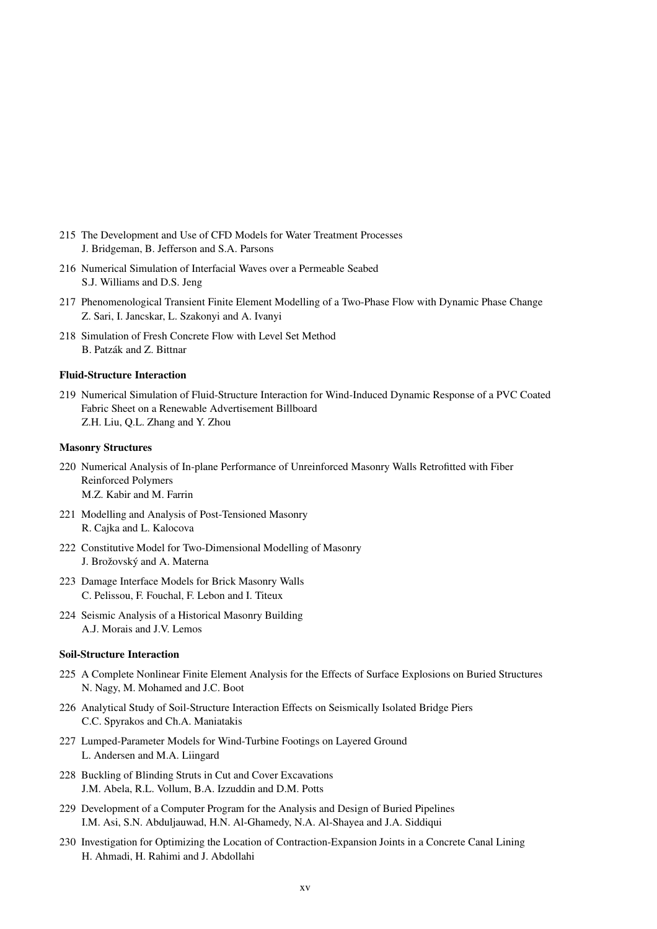- 215 The Development and Use of CFD Models for Water Treatment Processes J. Bridgeman, B. Jefferson and S.A. Parsons
- 216 Numerical Simulation of Interfacial Waves over a Permeable Seabed S.J. Williams and D.S. Jeng
- 217 Phenomenological Transient Finite Element Modelling of a Two-Phase Flow with Dynamic Phase Change Z. Sari, I. Jancskar, L. Szakonyi and A. Ivanyi
- 218 Simulation of Fresh Concrete Flow with Level Set Method B. Patzák and Z. Bittnar

## **Fluid-Structure Interaction**

219 Numerical Simulation of Fluid-Structure Interaction for Wind-Induced Dynamic Response of a PVC Coated Fabric Sheet on a Renewable Advertisement Billboard Z.H. Liu, Q.L. Zhang and Y. Zhou

#### **Masonry Structures**

- 220 Numerical Analysis of In-plane Performance of Unreinforced Masonry Walls Retrofitted with Fiber Reinforced Polymers M.Z. Kabir and M. Farrin
- 221 Modelling and Analysis of Post-Tensioned Masonry R. Cajka and L. Kalocova
- 222 Constitutive Model for Two-Dimensional Modelling of Masonry J. Brožovský and A. Materna
- 223 Damage Interface Models for Brick Masonry Walls C. Pelissou, F. Fouchal, F. Lebon and I. Titeux
- 224 Seismic Analysis of a Historical Masonry Building A.J. Morais and J.V. Lemos

#### **Soil-Structure Interaction**

- 225 A Complete Nonlinear Finite Element Analysis for the Effects of Surface Explosions on Buried Structures N. Nagy, M. Mohamed and J.C. Boot
- 226 Analytical Study of Soil-Structure Interaction Effects on Seismically Isolated Bridge Piers C.C. Spyrakos and Ch.A. Maniatakis
- 227 Lumped-Parameter Models for Wind-Turbine Footings on Layered Ground L. Andersen and M.A. Liingard
- 228 Buckling of Blinding Struts in Cut and Cover Excavations J.M. Abela, R.L. Vollum, B.A. Izzuddin and D.M. Potts
- 229 Development of a Computer Program for the Analysis and Design of Buried Pipelines I.M. Asi, S.N. Abduljauwad, H.N. Al-Ghamedy, N.A. Al-Shayea and J.A. Siddiqui
- 230 Investigation for Optimizing the Location of Contraction-Expansion Joints in a Concrete Canal Lining H. Ahmadi, H. Rahimi and J. Abdollahi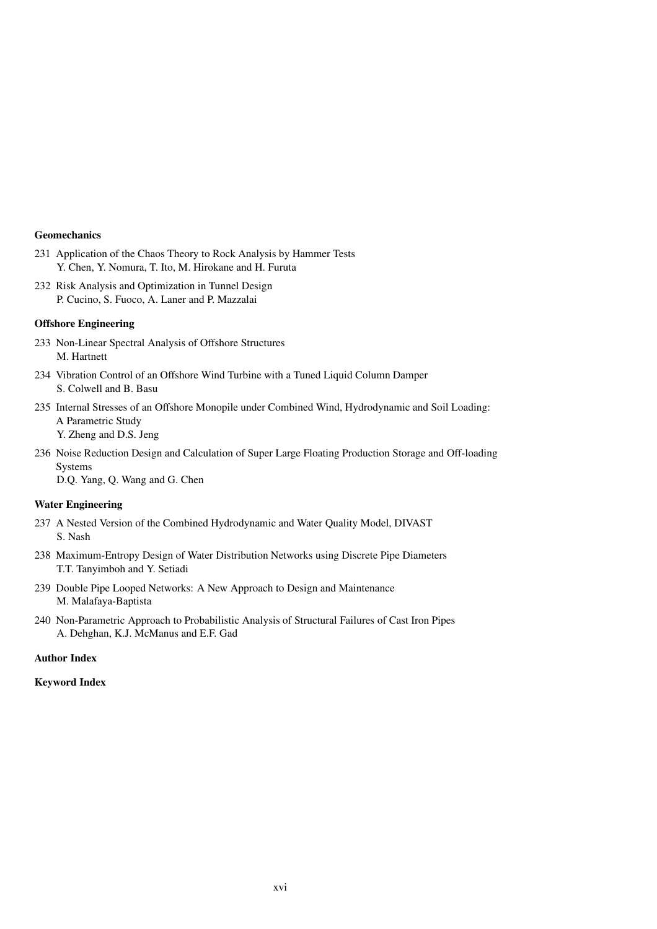#### **Geomechanics**

- 231 Application of the Chaos Theory to Rock Analysis by Hammer Tests Y. Chen, Y. Nomura, T. Ito, M. Hirokane and H. Furuta
- 232 Risk Analysis and Optimization in Tunnel Design P. Cucino, S. Fuoco, A. Laner and P. Mazzalai

#### **Offshore Engineering**

- 233 Non-Linear Spectral Analysis of Offshore Structures M. Hartnett
- 234 Vibration Control of an Offshore Wind Turbine with a Tuned Liquid Column Damper S. Colwell and B. Basu
- 235 Internal Stresses of an Offshore Monopile under Combined Wind, Hydrodynamic and Soil Loading: A Parametric Study Y. Zheng and D.S. Jeng
- 236 Noise Reduction Design and Calculation of Super Large Floating Production Storage and Off-loading Systems

D.Q. Yang, Q. Wang and G. Chen

#### **Water Engineering**

- 237 A Nested Version of the Combined Hydrodynamic and Water Quality Model, DIVAST S. Nash
- 238 Maximum-Entropy Design of Water Distribution Networks using Discrete Pipe Diameters T.T. Tanyimboh and Y. Setiadi
- 239 Double Pipe Looped Networks: A New Approach to Design and Maintenance M. Malafaya-Baptista
- 240 Non-Parametric Approach to Probabilistic Analysis of Structural Failures of Cast Iron Pipes A. Dehghan, K.J. McManus and E.F. Gad

#### **Author Index**

**Keyword Index**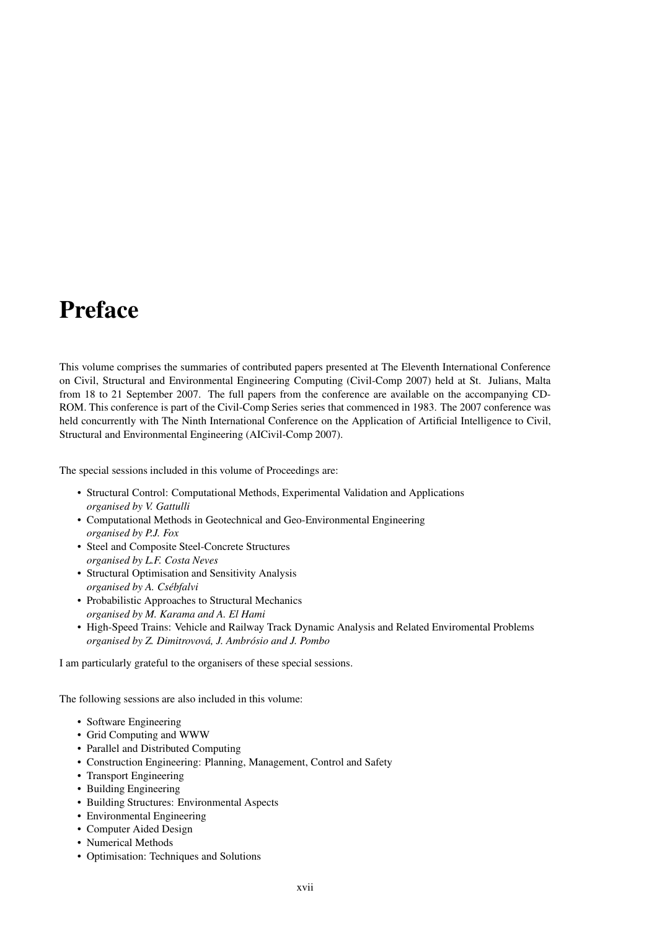# **Preface**

This volume comprises the summaries of contributed papers presented at The Eleventh International Conference on Civil, Structural and Environmental Engineering Computing (Civil-Comp 2007) held at St. Julians, Malta from 18 to 21 September 2007. The full papers from the conference are available on the accompanying CD-ROM. This conference is part of the Civil-Comp Series series that commenced in 1983. The 2007 conference was held concurrently with The Ninth International Conference on the Application of Artificial Intelligence to Civil, Structural and Environmental Engineering (AICivil-Comp 2007).

The special sessions included in this volume of Proceedings are:

- Structural Control: Computational Methods, Experimental Validation and Applications *organised by V. Gattulli*
- Computational Methods in Geotechnical and Geo-Environmental Engineering *organised by P.J. Fox*
- Steel and Composite Steel-Concrete Structures *organised by L.F. Costa Neves*
- Structural Optimisation and Sensitivity Analysis *organised by A. Csébfalvi*
- Probabilistic Approaches to Structural Mechanics *organised by M. Karama and A. El Hami*
- High-Speed Trains: Vehicle and Railway Track Dynamic Analysis and Related Enviromental Problems *organised by Z. Dimitrovová, J. Ambrósio and J. Pombo*

I am particularly grateful to the organisers of these special sessions.

The following sessions are also included in this volume:

- Software Engineering
- Grid Computing and WWW
- Parallel and Distributed Computing
- Construction Engineering: Planning, Management, Control and Safety
- Transport Engineering
- Building Engineering
- Building Structures: Environmental Aspects
- Environmental Engineering
- Computer Aided Design
- Numerical Methods
- Optimisation: Techniques and Solutions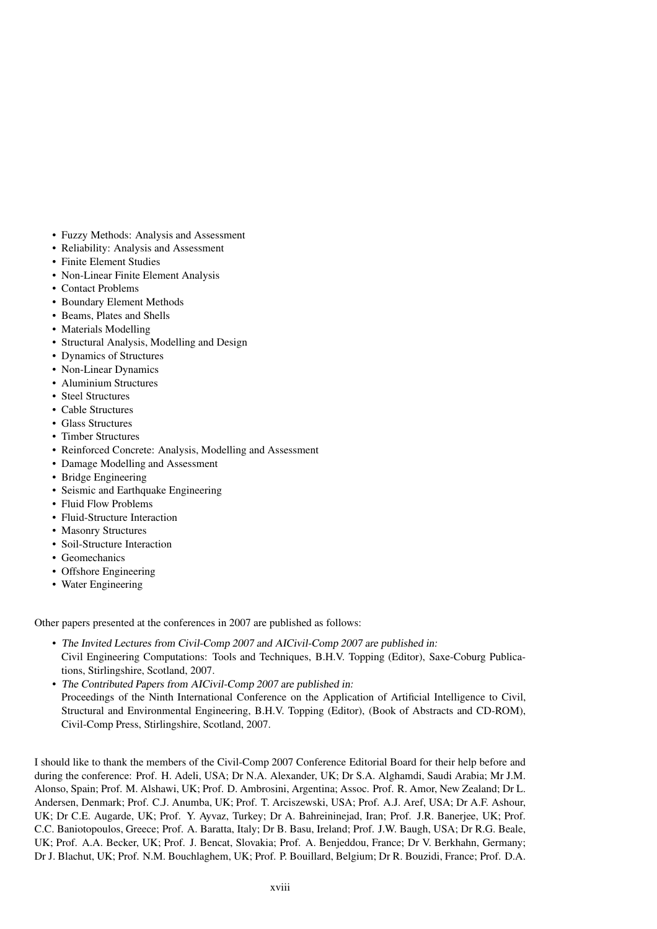- Fuzzy Methods: Analysis and Assessment
- Reliability: Analysis and Assessment
- Finite Element Studies
- Non-Linear Finite Element Analysis
- Contact Problems
- Boundary Element Methods
- Beams, Plates and Shells
- Materials Modelling
- Structural Analysis, Modelling and Design
- Dynamics of Structures
- Non-Linear Dynamics
- Aluminium Structures
- Steel Structures
- Cable Structures
- Glass Structures
- Timber Structures
- Reinforced Concrete: Analysis, Modelling and Assessment
- Damage Modelling and Assessment
- Bridge Engineering
- Seismic and Earthquake Engineering
- Fluid Flow Problems
- Fluid-Structure Interaction
- Masonry Structures
- Soil-Structure Interaction
- Geomechanics
- Offshore Engineering
- Water Engineering

Other papers presented at the conferences in 2007 are published as follows:

- The Invited Lectures from Civil-Comp <sup>2007</sup> and AICivil-Comp <sup>2007</sup> are published in: Civil Engineering Computations: Tools and Techniques, B.H.V. Topping (Editor), Saxe-Coburg Publications, Stirlingshire, Scotland, 2007.
- The Contributed Papers from AICivil-Comp <sup>2007</sup> are published in: Proceedings of the Ninth International Conference on the Application of Artificial Intelligence to Civil, Structural and Environmental Engineering, B.H.V. Topping (Editor), (Book of Abstracts and CD-ROM), Civil-Comp Press, Stirlingshire, Scotland, 2007.

I should like to thank the members of the Civil-Comp 2007 Conference Editorial Board for their help before and during the conference: Prof. H. Adeli, USA; Dr N.A. Alexander, UK; Dr S.A. Alghamdi, Saudi Arabia; Mr J.M. Alonso, Spain; Prof. M. Alshawi, UK; Prof. D. Ambrosini, Argentina; Assoc. Prof. R. Amor, New Zealand; Dr L. Andersen, Denmark; Prof. C.J. Anumba, UK; Prof. T. Arciszewski, USA; Prof. A.J. Aref, USA; Dr A.F. Ashour, UK; Dr C.E. Augarde, UK; Prof. Y. Ayvaz, Turkey; Dr A. Bahreininejad, Iran; Prof. J.R. Banerjee, UK; Prof. C.C. Baniotopoulos, Greece; Prof. A. Baratta, Italy; Dr B. Basu, Ireland; Prof. J.W. Baugh, USA; Dr R.G. Beale, UK; Prof. A.A. Becker, UK; Prof. J. Bencat, Slovakia; Prof. A. Benjeddou, France; Dr V. Berkhahn, Germany; Dr J. Blachut, UK; Prof. N.M. Bouchlaghem, UK; Prof. P. Bouillard, Belgium; Dr R. Bouzidi, France; Prof. D.A.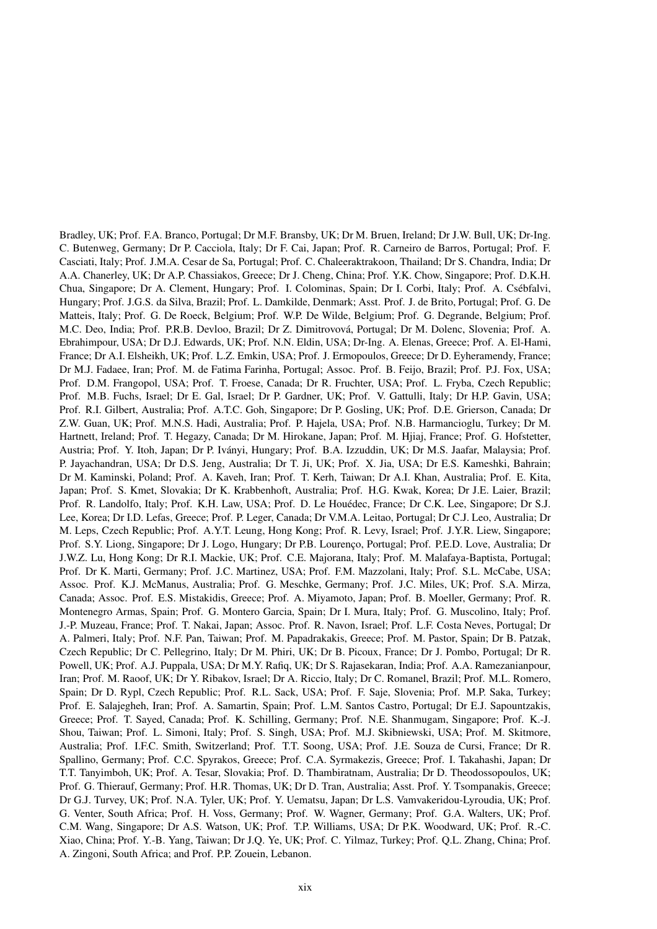Bradley, UK; Prof. F.A. Branco, Portugal; Dr M.F. Bransby, UK; Dr M. Bruen, Ireland; Dr J.W. Bull, UK; Dr-Ing. C. Butenweg, Germany; Dr P. Cacciola, Italy; Dr F. Cai, Japan; Prof. R. Carneiro de Barros, Portugal; Prof. F. Casciati, Italy; Prof. J.M.A. Cesar de Sa, Portugal; Prof. C. Chaleeraktrakoon, Thailand; Dr S. Chandra, India; Dr A.A. Chanerley, UK; Dr A.P. Chassiakos, Greece; Dr J. Cheng, China; Prof. Y.K. Chow, Singapore; Prof. D.K.H. Chua, Singapore; Dr A. Clement, Hungary; Prof. I. Colominas, Spain; Dr I. Corbi, Italy; Prof. A. Csébfalvi, Hungary; Prof. J.G.S. da Silva, Brazil; Prof. L. Damkilde, Denmark; Asst. Prof. J. de Brito, Portugal; Prof. G. De Matteis, Italy; Prof. G. De Roeck, Belgium; Prof. W.P. De Wilde, Belgium; Prof. G. Degrande, Belgium; Prof. M.C. Deo, India; Prof. P.R.B. Devloo, Brazil; Dr Z. Dimitrovová, Portugal; Dr M. Dolenc, Slovenia; Prof. A. Ebrahimpour, USA; Dr D.J. Edwards, UK; Prof. N.N. Eldin, USA; Dr-Ing. A. Elenas, Greece; Prof. A. El-Hami, France; Dr A.I. Elsheikh, UK; Prof. L.Z. Emkin, USA; Prof. J. Ermopoulos, Greece; Dr D. Eyheramendy, France; Dr M.J. Fadaee, Iran; Prof. M. de Fatima Farinha, Portugal; Assoc. Prof. B. Feijo, Brazil; Prof. P.J. Fox, USA; Prof. D.M. Frangopol, USA; Prof. T. Froese, Canada; Dr R. Fruchter, USA; Prof. L. Fryba, Czech Republic; Prof. M.B. Fuchs, Israel; Dr E. Gal, Israel; Dr P. Gardner, UK; Prof. V. Gattulli, Italy; Dr H.P. Gavin, USA; Prof. R.I. Gilbert, Australia; Prof. A.T.C. Goh, Singapore; Dr P. Gosling, UK; Prof. D.E. Grierson, Canada; Dr Z.W. Guan, UK; Prof. M.N.S. Hadi, Australia; Prof. P. Hajela, USA; Prof. N.B. Harmancioglu, Turkey; Dr M. Hartnett, Ireland; Prof. T. Hegazy, Canada; Dr M. Hirokane, Japan; Prof. M. Hjiaj, France; Prof. G. Hofstetter, Austria; Prof. Y. Itoh, Japan; Dr P. Iványi, Hungary; Prof. B.A. Izzuddin, UK; Dr M.S. Jaafar, Malaysia; Prof. P. Jayachandran, USA; Dr D.S. Jeng, Australia; Dr T. Ji, UK; Prof. X. Jia, USA; Dr E.S. Kameshki, Bahrain; Dr M. Kaminski, Poland; Prof. A. Kaveh, Iran; Prof. T. Kerh, Taiwan; Dr A.I. Khan, Australia; Prof. E. Kita, Japan; Prof. S. Kmet, Slovakia; Dr K. Krabbenhoft, Australia; Prof. H.G. Kwak, Korea; Dr J.E. Laier, Brazil; Prof. R. Landolfo, Italy; Prof. K.H. Law, USA; Prof. D. Le Houédec, France; Dr C.K. Lee, Singapore; Dr S.J. Lee, Korea; Dr I.D. Lefas, Greece; Prof. P. Leger, Canada; Dr V.M.A. Leitao, Portugal; Dr C.J. Leo, Australia; Dr M. Leps, Czech Republic; Prof. A.Y.T. Leung, Hong Kong; Prof. R. Levy, Israel; Prof. J.Y.R. Liew, Singapore; Prof. S.Y. Liong, Singapore; Dr J. Logo, Hungary; Dr P.B. Lourenço, Portugal; Prof. P.E.D. Love, Australia; Dr J.W.Z. Lu, Hong Kong; Dr R.I. Mackie, UK; Prof. C.E. Majorana, Italy; Prof. M. Malafaya-Baptista, Portugal; Prof. Dr K. Marti, Germany; Prof. J.C. Martinez, USA; Prof. F.M. Mazzolani, Italy; Prof. S.L. McCabe, USA; Assoc. Prof. K.J. McManus, Australia; Prof. G. Meschke, Germany; Prof. J.C. Miles, UK; Prof. S.A. Mirza, Canada; Assoc. Prof. E.S. Mistakidis, Greece; Prof. A. Miyamoto, Japan; Prof. B. Moeller, Germany; Prof. R. Montenegro Armas, Spain; Prof. G. Montero Garcia, Spain; Dr I. Mura, Italy; Prof. G. Muscolino, Italy; Prof. J.-P. Muzeau, France; Prof. T. Nakai, Japan; Assoc. Prof. R. Navon, Israel; Prof. L.F. Costa Neves, Portugal; Dr A. Palmeri, Italy; Prof. N.F. Pan, Taiwan; Prof. M. Papadrakakis, Greece; Prof. M. Pastor, Spain; Dr B. Patzak, Czech Republic; Dr C. Pellegrino, Italy; Dr M. Phiri, UK; Dr B. Picoux, France; Dr J. Pombo, Portugal; Dr R. Powell, UK; Prof. A.J. Puppala, USA; Dr M.Y. Rafiq, UK; Dr S. Rajasekaran, India; Prof. A.A. Ramezanianpour, Iran; Prof. M. Raoof, UK; Dr Y. Ribakov, Israel; Dr A. Riccio, Italy; Dr C. Romanel, Brazil; Prof. M.L. Romero, Spain; Dr D. Rypl, Czech Republic; Prof. R.L. Sack, USA; Prof. F. Saje, Slovenia; Prof. M.P. Saka, Turkey; Prof. E. Salajegheh, Iran; Prof. A. Samartin, Spain; Prof. L.M. Santos Castro, Portugal; Dr E.J. Sapountzakis, Greece; Prof. T. Sayed, Canada; Prof. K. Schilling, Germany; Prof. N.E. Shanmugam, Singapore; Prof. K.-J. Shou, Taiwan; Prof. L. Simoni, Italy; Prof. S. Singh, USA; Prof. M.J. Skibniewski, USA; Prof. M. Skitmore, Australia; Prof. I.F.C. Smith, Switzerland; Prof. T.T. Soong, USA; Prof. J.E. Souza de Cursi, France; Dr R. Spallino, Germany; Prof. C.C. Spyrakos, Greece; Prof. C.A. Syrmakezis, Greece; Prof. I. Takahashi, Japan; Dr T.T. Tanyimboh, UK; Prof. A. Tesar, Slovakia; Prof. D. Thambiratnam, Australia; Dr D. Theodossopoulos, UK; Prof. G. Thierauf, Germany; Prof. H.R. Thomas, UK; Dr D. Tran, Australia; Asst. Prof. Y. Tsompanakis, Greece; Dr G.J. Turvey, UK; Prof. N.A. Tyler, UK; Prof. Y. Uematsu, Japan; Dr L.S. Vamvakeridou-Lyroudia, UK; Prof. G. Venter, South Africa; Prof. H. Voss, Germany; Prof. W. Wagner, Germany; Prof. G.A. Walters, UK; Prof. C.M. Wang, Singapore; Dr A.S. Watson, UK; Prof. T.P. Williams, USA; Dr P.K. Woodward, UK; Prof. R.-C. Xiao, China; Prof. Y.-B. Yang, Taiwan; Dr J.Q. Ye, UK; Prof. C. Yilmaz, Turkey; Prof. Q.L. Zhang, China; Prof. A. Zingoni, South Africa; and Prof. P.P. Zouein, Lebanon.